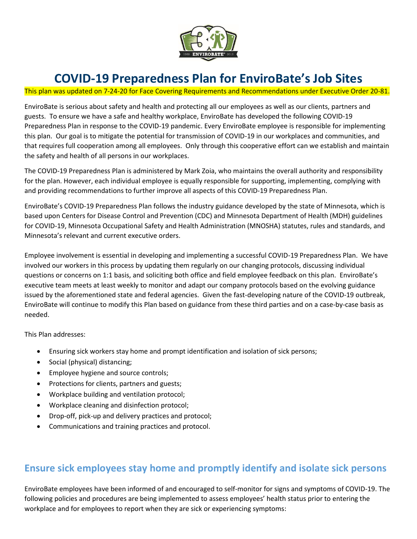

## **COVID-19 Preparedness Plan for EnviroBate's Job Sites**

This plan was updated on 7-24-20 for Face Covering Requirements and Recommendations under Executive Order 20-81.

EnviroBate is serious about safety and health and protecting all our employees as well as our clients, partners and guests. To ensure we have a safe and healthy workplace, EnviroBate has developed the following COVID-19 Preparedness Plan in response to the COVID-19 pandemic. Every EnviroBate employee is responsible for implementing this plan. Our goal is to mitigate the potential for transmission of COVID-19 in our workplaces and communities, and that requires full cooperation among all employees. Only through this cooperative effort can we establish and maintain the safety and health of all persons in our workplaces.

The COVID-19 Preparedness Plan is administered by Mark Zoia, who maintains the overall authority and responsibility for the plan. However, each individual employee is equally responsible for supporting, implementing, complying with and providing recommendations to further improve all aspects of this COVID-19 Preparedness Plan.

EnviroBate's COVID-19 Preparedness Plan follows the industry guidance developed by the state of Minnesota, which is based upon Centers for Disease Control and Prevention (CDC) and Minnesota Department of Health (MDH) guidelines for COVID-19, Minnesota Occupational Safety and Health Administration (MNOSHA) statutes, rules and standards, and Minnesota's relevant and current executive orders.

Employee involvement is essential in developing and implementing a successful COVID-19 Preparedness Plan. We have involved our workers in this process by updating them regularly on our changing protocols, discussing individual questions or concerns on 1:1 basis, and soliciting both office and field employee feedback on this plan. EnviroBate's executive team meets at least weekly to monitor and adapt our company protocols based on the evolving guidance issued by the aforementioned state and federal agencies. Given the fast-developing nature of the COVID-19 outbreak, EnviroBate will continue to modify this Plan based on guidance from these third parties and on a case-by-case basis as needed.

This Plan addresses:

- Ensuring sick workers stay home and prompt identification and isolation of sick persons;
- Social (physical) distancing;
- Employee hygiene and source controls;
- Protections for clients, partners and guests;
- Workplace building and ventilation protocol;
- Workplace cleaning and disinfection protocol;
- Drop-off, pick-up and delivery practices and protocol;
- Communications and training practices and protocol.

### **Ensure sick employees stay home and promptly identify and isolate sick persons**

EnviroBate employees have been informed of and encouraged to self-monitor for signs and symptoms of COVID-19. The following policies and procedures are being implemented to assess employees' health status prior to entering the workplace and for employees to report when they are sick or experiencing symptoms: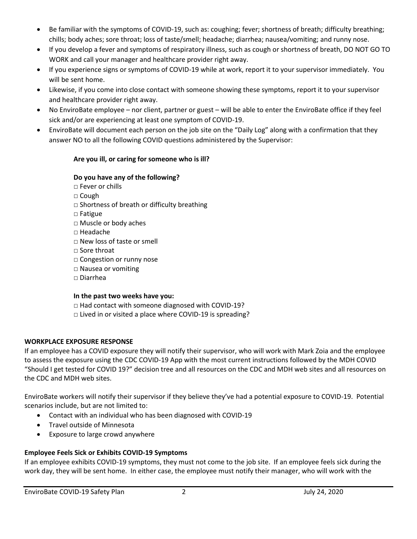- Be familiar with the symptoms of COVID-19, such as: coughing; fever; shortness of breath; difficulty breathing; chills; body aches; sore throat; loss of taste/smell; headache; diarrhea; nausea/vomiting; and runny nose.
- If you develop a fever and symptoms of respiratory illness, such as cough or shortness of breath, DO NOT GO TO WORK and call your manager and healthcare provider right away.
- If you experience signs or symptoms of COVID-19 while at work, report it to your supervisor immediately. You will be sent home.
- Likewise, if you come into close contact with someone showing these symptoms, report it to your supervisor and healthcare provider right away.
- No EnviroBate employee nor client, partner or guest will be able to enter the EnviroBate office if they feel sick and/or are experiencing at least one symptom of COVID-19.
- EnviroBate will document each person on the job site on the "Daily Log" along with a confirmation that they answer NO to all the following COVID questions administered by the Supervisor:

### **Are you ill, or caring for someone who is ill?**

### **Do you have any of the following?**

- □ Fever or chills
- □ Cough
- $\square$  Shortness of breath or difficulty breathing
- □ Fatigue
- □ Muscle or body aches
- □ Headache
- $\Box$  New loss of taste or smell
- □ Sore throat
- □ Congestion or runny nose
- □ Nausea or vomiting
- □ Diarrhea

### **In the past two weeks have you:**

□ Had contact with someone diagnosed with COVID-19?

□ Lived in or visited a place where COVID-19 is spreading?

### **WORKPLACE EXPOSURE RESPONSE**

If an employee has a COVID exposure they will notify their supervisor, who will work with Mark Zoia and the employee to assess the exposure using the CDC COVID-19 App with the most current instructions followed by the MDH COVID "Should I get tested for COVID 19?" decision tree and all resources on the CDC and MDH web sites and all resources on the CDC and MDH web sites.

EnviroBate workers will notify their supervisor if they believe they've had a potential exposure to COVID-19. Potential scenarios include, but are not limited to:

- Contact with an individual who has been diagnosed with COVID-19
- **•** Travel outside of Minnesota
- Exposure to large crowd anywhere

### **Employee Feels Sick or Exhibits COVID-19 Symptoms**

If an employee exhibits COVID-19 symptoms, they must not come to the job site. If an employee feels sick during the work day, they will be sent home. In either case, the employee must notify their manager, who will work with the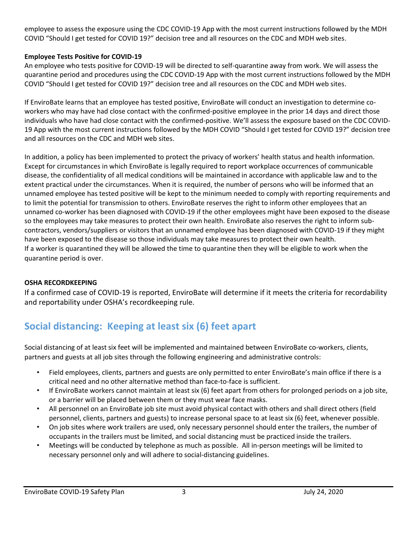employee to assess the exposure using the CDC COVID-19 App with the most current instructions followed by the MDH COVID "Should I get tested for COVID 19?" decision tree and all resources on the CDC and MDH web sites.

### **Employee Tests Positive for COVID-19**

An employee who tests positive for COVID-19 will be directed to self-quarantine away from work. We will assess the quarantine period and procedures using the CDC COVID-19 App with the most current instructions followed by the MDH COVID "Should I get tested for COVID 19?" decision tree and all resources on the CDC and MDH web sites.

If EnviroBate learns that an employee has tested positive, EnviroBate will conduct an investigation to determine coworkers who may have had close contact with the confirmed-positive employee in the prior 14 days and direct those individuals who have had close contact with the confirmed-positive. We'll assess the exposure based on the CDC COVID-19 App with the most current instructions followed by the MDH COVID "Should I get tested for COVID 19?" decision tree and all resources on the CDC and MDH web sites.

In addition, a policy has been implemented to protect the privacy of workers' health status and health information. Except for circumstances in which EnviroBate is legally required to report workplace occurrences of communicable disease, the confidentiality of all medical conditions will be maintained in accordance with applicable law and to the extent practical under the circumstances. When it is required, the number of persons who will be informed that an unnamed employee has tested positive will be kept to the minimum needed to comply with reporting requirements and to limit the potential for transmission to others. EnviroBate reserves the right to inform other employees that an unnamed co-worker has been diagnosed with COVID-19 if the other employees might have been exposed to the disease so the employees may take measures to protect their own health. EnviroBate also reserves the right to inform subcontractors, vendors/suppliers or visitors that an unnamed employee has been diagnosed with COVID-19 if they might have been exposed to the disease so those individuals may take measures to protect their own health. If a worker is quarantined they will be allowed the time to quarantine then they will be eligible to work when the quarantine period is over.

### **OSHA RECORDKEEPING**

If a confirmed case of COVID-19 is reported, EnviroBate will determine if it meets the criteria for recordability and reportability under OSHA's recordkeeping rule.

### **Social distancing: Keeping at least six (6) feet apart**

Social distancing of at least six feet will be implemented and maintained between EnviroBate co-workers, clients, partners and guests at all job sites through the following engineering and administrative controls:

- Field employees, clients, partners and guests are only permitted to enter EnviroBate's main office if there is a critical need and no other alternative method than face-to-face is sufficient.
- If EnviroBate workers cannot maintain at least six (6) feet apart from others for prolonged periods on a job site, or a barrier will be placed between them or they must wear face masks.
- All personnel on an EnviroBate job site must avoid physical contact with others and shall direct others (field personnel, clients, partners and guests) to increase personal space to at least six (6) feet, whenever possible.
- On job sites where work trailers are used, only necessary personnel should enter the trailers, the number of occupants in the trailers must be limited, and social distancing must be practiced inside the trailers.
- Meetings will be conducted by telephone as much as possible. All in-person meetings will be limited to necessary personnel only and will adhere to social-distancing guidelines.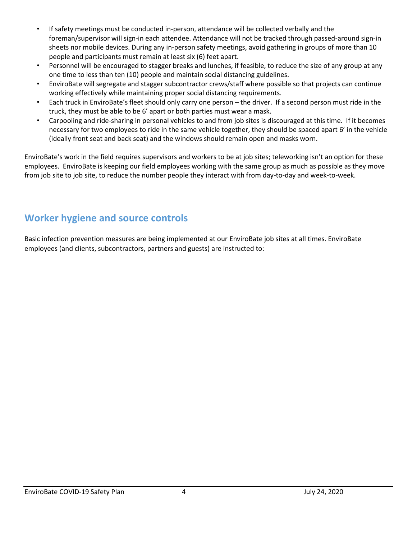- If safety meetings must be conducted in-person, attendance will be collected verbally and the foreman/supervisor will sign-in each attendee. Attendance will not be tracked through passed-around sign-in sheets nor mobile devices. During any in-person safety meetings, avoid gathering in groups of more than 10 people and participants must remain at least six (6) feet apart.
- Personnel will be encouraged to stagger breaks and lunches, if feasible, to reduce the size of any group at any one time to less than ten (10) people and maintain social distancing guidelines.
- EnviroBate will segregate and stagger subcontractor crews/staff where possible so that projects can continue working effectively while maintaining proper social distancing requirements.
- Each truck in EnviroBate's fleet should only carry one person the driver. If a second person must ride in the truck, they must be able to be 6' apart or both parties must wear a mask.
- Carpooling and ride-sharing in personal vehicles to and from job sites is discouraged at this time. If it becomes necessary for two employees to ride in the same vehicle together, they should be spaced apart 6' in the vehicle (ideally front seat and back seat) and the windows should remain open and masks worn.

EnviroBate's work in the field requires supervisors and workers to be at job sites; teleworking isn't an option for these employees. EnviroBate is keeping our field employees working with the same group as much as possible as they move from job site to job site, to reduce the number people they interact with from day-to-day and week-to-week.

### **Worker hygiene and source controls**

Basic infection prevention measures are being implemented at our EnviroBate job sites at all times. EnviroBate employees (and clients, subcontractors, partners and guests) are instructed to: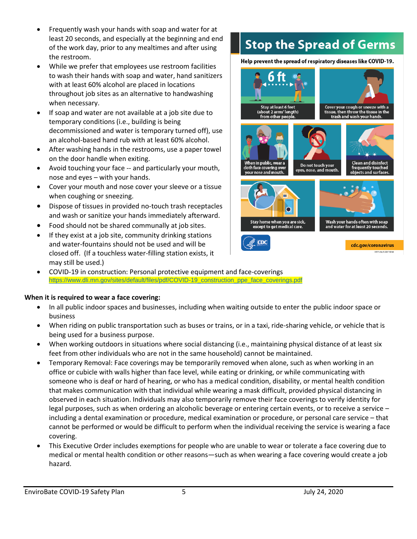- Frequently wash your hands with soap and water for at least 20 seconds, and especially at the beginning and end of the work day, prior to any mealtimes and after using the restroom.
- While we prefer that employees use restroom facilities to wash their hands with soap and water, hand sanitizers with at least 60% alcohol are placed in locations throughout job sites as an alternative to handwashing when necessary.
- If soap and water are not available at a job site due to temporary conditions (i.e., building is being decommissioned and water is temporary turned off), use an alcohol-based hand rub with at least 60% alcohol.
- After washing hands in the restrooms, use a paper towel on the door handle when exiting.
- Avoid touching your face -- and particularly your mouth, nose and eyes – with your hands.
- Cover your mouth and nose cover your sleeve or a tissue when coughing or sneezing.
- Dispose of tissues in provided no-touch trash receptacles and wash or sanitize your hands immediately afterward.
- Food should not be shared communally at job sites.
- If they exist at a job site, community drinking stations and water-fountains should not be used and will be closed off. (If a touchless water-filling station exists, it may still be used.)
- COVID-19 in construction: Personal protective equipment and face-coverings [https://www.dli.mn.gov/sites/default/files/pdf/COVID-19\\_construction\\_ppe\\_face\\_coverings.pdf](https://www.dli.mn.gov/sites/default/files/pdf/COVID-19_construction_ppe_face_coverings.pdf)

### **When it is required to wear a face covering:**

- In all public indoor spaces and businesses, including when waiting outside to enter the public indoor space or business
- When riding on public transportation such as buses or trains, or in a taxi, ride-sharing vehicle, or vehicle that is being used for a business purpose.
- When working outdoors in situations where social distancing (i.e., maintaining physical distance of at least six feet from other individuals who are not in the same household) cannot be maintained.
- Temporary Removal: Face coverings may be temporarily removed when alone, such as when working in an office or cubicle with walls higher than face level, while eating or drinking, or while communicating with someone who is deaf or hard of hearing, or who has a medical condition, disability, or mental health condition that makes communication with that individual while wearing a mask difficult, provided physical distancing in observed in each situation. Individuals may also temporarily remove their face coverings to verify identity for legal purposes, such as when ordering an alcoholic beverage or entering certain events, or to receive a service – including a dental examination or procedure, medical examination or procedure, or personal care service – that cannot be performed or would be difficult to perform when the individual receiving the service is wearing a face covering.
- This Executive Order includes exemptions for people who are unable to wear or tolerate a face covering due to medical or mental health condition or other reasons—such as when wearing a face covering would create a job hazard.

# **Stop the Spread of Germs**

Help prevent the spread of respiratory diseases like COVID-19.

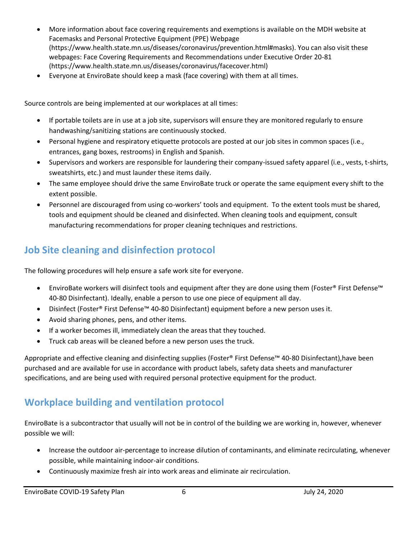- More information about face covering requirements and exemptions is available on the MDH website at Facemasks and Personal Protective Equipment (PPE) Webpage (https://www.health.state.mn.us/diseases/coronavirus/prevention.html#masks). You can also visit these webpages: Face Covering Requirements and Recommendations under Executive Order 20-81 (https://www.health.state.mn.us/diseases/coronavirus/facecover.html)
- Everyone at EnviroBate should keep a mask (face covering) with them at all times.

Source controls are being implemented at our workplaces at all times:

- If portable toilets are in use at a job site, supervisors will ensure they are monitored regularly to ensure handwashing/sanitizing stations are continuously stocked.
- Personal hygiene and respiratory etiquette protocols are posted at our job sites in common spaces (i.e., entrances, gang boxes, restrooms) in English and Spanish.
- Supervisors and workers are responsible for laundering their company-issued safety apparel (i.e., vests, t-shirts, sweatshirts, etc.) and must launder these items daily.
- The same employee should drive the same EnviroBate truck or operate the same equipment every shift to the extent possible.
- Personnel are discouraged from using co-workers' tools and equipment. To the extent tools must be shared, tools and equipment should be cleaned and disinfected. When cleaning tools and equipment, consult manufacturing recommendations for proper cleaning techniques and restrictions.

## **Job Site cleaning and disinfection protocol**

The following procedures will help ensure a safe work site for everyone.

- EnviroBate workers will disinfect tools and equipment after they are done using them (Foster® First Defense™ 40‑80 Disinfectant). Ideally, enable a person to use one piece of equipment all day.
- Disinfect (Foster® First Defense™ 40‑80 Disinfectant) equipment before a new person uses it.
- Avoid sharing phones, pens, and other items.
- If a worker becomes ill, immediately clean the areas that they touched.
- Truck cab areas will be cleaned before a new person uses the truck.

Appropriate and effective cleaning and disinfecting supplies (Foster® First Defense™ 40‑80 Disinfectant),have been purchased and are available for use in accordance with product labels, safety data sheets and manufacturer specifications, and are being used with required personal protective equipment for the product.

### **Workplace building and ventilation protocol**

EnviroBate is a subcontractor that usually will not be in control of the building we are working in, however, whenever possible we will:

- Increase the outdoor air-percentage to increase dilution of contaminants, and eliminate recirculating, whenever possible, while maintaining indoor-air conditions.
- Continuously maximize fresh air into work areas and eliminate air recirculation.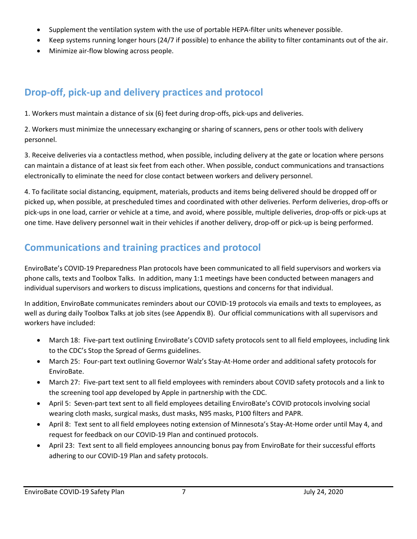- Supplement the ventilation system with the use of portable HEPA-filter units whenever possible.
- Keep systems running longer hours (24/7 if possible) to enhance the ability to filter contaminants out of the air.
- Minimize air-flow blowing across people.

## **Drop-off, pick-up and delivery practices and protocol**

1. Workers must maintain a distance of six (6) feet during drop-offs, pick-ups and deliveries.

2. Workers must minimize the unnecessary exchanging or sharing of scanners, pens or other tools with delivery personnel.

3. Receive deliveries via a contactless method, when possible, including delivery at the gate or location where persons can maintain a distance of at least six feet from each other. When possible, conduct communications and transactions electronically to eliminate the need for close contact between workers and delivery personnel.

4. To facilitate social distancing, equipment, materials, products and items being delivered should be dropped off or picked up, when possible, at prescheduled times and coordinated with other deliveries. Perform deliveries, drop-offs or pick-ups in one load, carrier or vehicle at a time, and avoid, where possible, multiple deliveries, drop-offs or pick-ups at one time. Have delivery personnel wait in their vehicles if another delivery, drop-off or pick-up is being performed.

## **Communications and training practices and protocol**

EnviroBate's COVID-19 Preparedness Plan protocols have been communicated to all field supervisors and workers via phone calls, texts and Toolbox Talks. In addition, many 1:1 meetings have been conducted between managers and individual supervisors and workers to discuss implications, questions and concerns for that individual.

In addition, EnviroBate communicates reminders about our COVID-19 protocols via emails and texts to employees, as well as during daily Toolbox Talks at job sites (see Appendix B). Our official communications with all supervisors and workers have included:

- March 18: Five-part text outlining EnviroBate's COVID safety protocols sent to all field employees, including link to the CDC's Stop the Spread of Germs guidelines.
- March 25: Four-part text outlining Governor Walz's Stay-At-Home order and additional safety protocols for EnviroBate.
- March 27: Five-part text sent to all field employees with reminders about COVID safety protocols and a link to the screening tool app developed by Apple in partnership with the CDC.
- April 5: Seven-part text sent to all field employees detailing EnviroBate's COVID protocols involving social wearing cloth masks, surgical masks, dust masks, N95 masks, P100 filters and PAPR.
- April 8: Text sent to all field employees noting extension of Minnesota's Stay-At-Home order until May 4, and request for feedback on our COVID-19 Plan and continued protocols.
- April 23: Text sent to all field employees announcing bonus pay from EnviroBate for their successful efforts adhering to our COVID-19 Plan and safety protocols.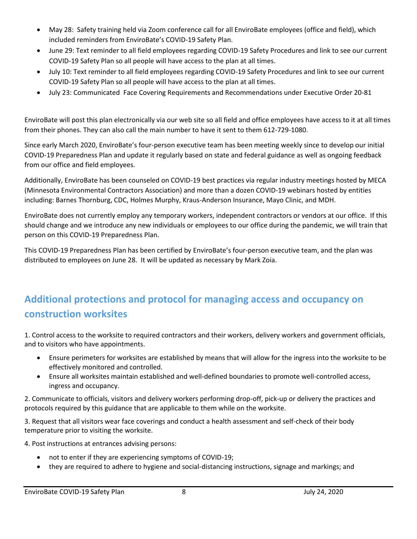- May 28: Safety training held via Zoom conference call for all EnviroBate employees (office and field), which included reminders from EnviroBate's COVID-19 Safety Plan.
- June 29: Text reminder to all field employees regarding COVID-19 Safety Procedures and link to see our current COVID-19 Safety Plan so all people will have access to the plan at all times.
- July 10: Text reminder to all field employees regarding COVID-19 Safety Procedures and link to see our current COVID-19 Safety Plan so all people will have access to the plan at all times.
- July 23: Communicated Face Covering Requirements and Recommendations under Executive Order 20-81

EnviroBate will post this plan electronically via our web site so all field and office employees have access to it at all times from their phones. They can also call the main number to have it sent to them 612-729-1080.

Since early March 2020, EnviroBate's four-person executive team has been meeting weekly since to develop our initial COVID-19 Preparedness Plan and update it regularly based on state and federal guidance as well as ongoing feedback from our office and field employees.

Additionally, EnviroBate has been counseled on COVID-19 best practices via regular industry meetings hosted by MECA (Minnesota Environmental Contractors Association) and more than a dozen COVID-19 webinars hosted by entities including: Barnes Thornburg, CDC, Holmes Murphy, Kraus-Anderson Insurance, Mayo Clinic, and MDH.

EnviroBate does not currently employ any temporary workers, independent contractors or vendors at our office. If this should change and we introduce any new individuals or employees to our office during the pandemic, we will train that person on this COVID-19 Preparedness Plan.

This COVID-19 Preparedness Plan has been certified by EnviroBate's four-person executive team, and the plan was distributed to employees on June 28. It will be updated as necessary by Mark Zoia.

## **Additional protections and protocol for managing access and occupancy on construction worksites**

1. Control access to the worksite to required contractors and their workers, delivery workers and government officials, and to visitors who have appointments.

- Ensure perimeters for worksites are established by means that will allow for the ingress into the worksite to be effectively monitored and controlled.
- Ensure all worksites maintain established and well-defined boundaries to promote well-controlled access, ingress and occupancy.

2. Communicate to officials, visitors and delivery workers performing drop-off, pick-up or delivery the practices and protocols required by this guidance that are applicable to them while on the worksite.

3. Request that all visitors wear face coverings and conduct a health assessment and self-check of their body temperature prior to visiting the worksite.

4. Post instructions at entrances advising persons:

- not to enter if they are experiencing symptoms of COVID-19;
- they are required to adhere to hygiene and social-distancing instructions, signage and markings; and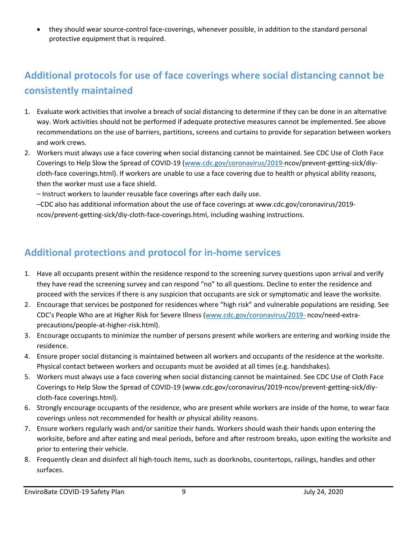they should wear source-control face-coverings, whenever possible, in addition to the standard personal protective equipment that is required.

## **Additional protocols for use of face coverings where social distancing cannot be consistently maintained**

- 1. Evaluate work activities that involve a breach of social distancing to determine if they can be done in an alternative way. Work activities should not be performed if adequate protective measures cannot be implemented. See above recommendations on the use of barriers, partitions, screens and curtains to provide for separation between workers and work crews.
- 2. Workers must always use a face covering when social distancing cannot be maintained. See CDC Use of Cloth Face Coverings to Help Slow the Spread of COVID-19 [\(www.cdc.gov/coronavirus/2019-n](http://www.cdc.gov/coronavirus/2019-)cov/prevent-getting-sick/diycloth-face coverings.html). If workers are unable to use a face covering due to health or physical ability reasons, then the worker must use a face shield.

– Instruct workers to launder reusable face coverings after each daily use.

–CDC also has additional information about the use of face coverings at www.cdc.gov/coronavirus/2019 ncov/prevent-getting-sick/diy-cloth-face-coverings.html, including washing instructions.

### **Additional protections and protocol for in-home services**

- 1. Have all occupants present within the residence respond to the screening survey questions upon arrival and verify they have read the screening survey and can respond "no" to all questions. Decline to enter the residence and proceed with the services if there is any suspicion that occupants are sick or symptomatic and leave the worksite.
- 2. Encourage that services be postponed for residences where "high risk" and vulnerable populations are residing. See CDC's People Who are at Higher Risk for Severe Illness [\(www.cdc.gov/coronavirus/2019-](http://www.cdc.gov/coronavirus/2019-) ncov/need-extraprecautions/people-at-higher-risk.html).
- 3. Encourage occupants to minimize the number of persons present while workers are entering and working inside the residence.
- 4. Ensure proper social distancing is maintained between all workers and occupants of the residence at the worksite. Physical contact between workers and occupants must be avoided at all times (e.g. handshakes).
- 5. Workers must always use a face covering when social distancing cannot be maintained. See CDC Use of Cloth Face Coverings to Help Slow the Spread of COVID-19 (www.cdc.gov/coronavirus/2019-ncov/prevent-getting-sick/diycloth-face coverings.html).
- 6. Strongly encourage occupants of the residence, who are present while workers are inside of the home, to wear face coverings unless not recommended for health or physical ability reasons.
- 7. Ensure workers regularly wash and/or sanitize their hands. Workers should wash their hands upon entering the worksite, before and after eating and meal periods, before and after restroom breaks, upon exiting the worksite and prior to entering their vehicle.
- 8. Frequently clean and disinfect all high-touch items, such as doorknobs, countertops, railings, handles and other surfaces.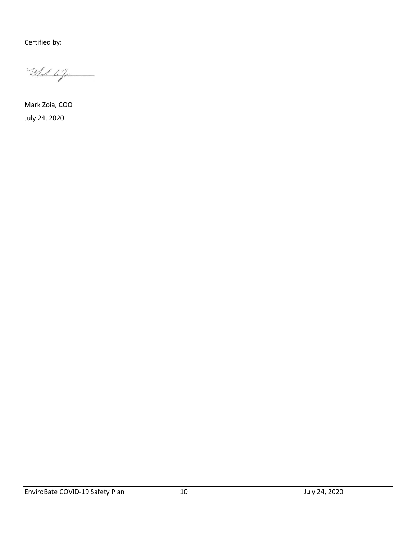Certified by:

Wed 6%.

Mark Zoia, COO July 24, 2020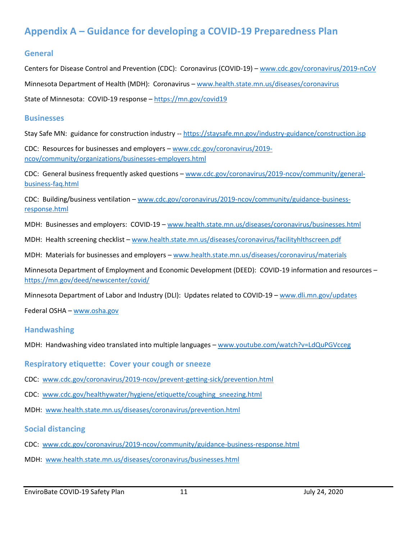### **Appendix A – Guidance for developing a COVID-19 Preparedness Plan**

### **General**

Centers for Disease Control and Prevention (CDC): Coronavirus (COVID-19) – [www.cdc.gov/coronavirus/2019-nCoV](http://www.cdc.gov/coronavirus/2019-nCoV) Minnesota Department of Health (MDH): Coronavirus – [www.health.state.mn.us/diseases/coronavirus](http://www.health.state.mn.us/diseases/coronavirus) State of Minnesota: COVID-19 response – [https://mn.gov/covid19](https://mn.gov/covid19/)

#### **Businesses**

Stay Safe MN: guidance for construction industry -- <https://staysafe.mn.gov/industry-guidance/construction.jsp>

CDC: Resources for businesses and employers – [www.cdc.gov/coronavirus/2019](http://www.cdc.gov/coronavirus/2019-ncov/community/organizations/businesses-employers.html) [ncov/community/organizations/businesses-employers.html](http://www.cdc.gov/coronavirus/2019-ncov/community/organizations/businesses-employers.html)

CDC: General business frequently asked questions – [www.cdc.gov/coronavirus/2019-ncov/community/general](http://www.cdc.gov/coronavirus/2019-ncov/community/general-business-faq.html)[business-faq.html](http://www.cdc.gov/coronavirus/2019-ncov/community/general-business-faq.html)

CDC: Building/business ventilation – [www.cdc.gov/coronavirus/2019-ncov/community/guidance-business](http://www.cdc.gov/coronavirus/2019-ncov/community/guidance-business-response.html)[response.html](http://www.cdc.gov/coronavirus/2019-ncov/community/guidance-business-response.html)

MDH: Businesses and employers: COVID-19 – [www.health.state.mn.us/diseases/coronavirus/businesses.html](http://www.health.state.mn.us/diseases/coronavirus/businesses.html)

MDH: Health screening checklist – [www.health.state.mn.us/diseases/coronavirus/facilityhlthscreen.pdf](http://www.health.state.mn.us/diseases/coronavirus/facilityhlthscreen.pdf)

MDH: Materials for businesses and employers – [www.health.state.mn.us/diseases/coronavirus/materials](http://www.health.state.mn.us/diseases/coronavirus/materials)

Minnesota Department of Employment and Economic Development (DEED): COVID-19 information and resources – <https://mn.gov/deed/newscenter/covid/>

Minnesota Department of Labor and Industry (DLI): Updates related to COVID-19 – [www.dli.mn.gov/updates](http://www.dli.mn.gov/updates)

Federal OSHA – [www.osha.gov](http://www.osha.gov/)

#### **Handwashing**

MDH: Handwashing video translated into multiple languages – [www.youtube.com/watch?v=LdQuPGVcceg](http://www.youtube.com/watch?v=LdQuPGVcceg)

**Respiratory etiquette: Cover your cough or sneeze**

- CDC: [www.cdc.gov/coronavirus/2019-ncov/prevent-getting-sick/prevention.html](http://www.cdc.gov/coronavirus/2019-ncov/prevent-getting-sick/prevention.html)
- CDC: [www.cdc.gov/healthywater/hygiene/etiquette/coughing\\_sneezing.html](http://www.cdc.gov/healthywater/hygiene/etiquette/coughing_sneezing.html)
- MDH: [www.health.state.mn.us/diseases/coronavirus/prevention.html](http://www.health.state.mn.us/diseases/coronavirus/prevention.html)

#### **Social distancing**

- CDC: [www.cdc.gov/coronavirus/2019-ncov/community/guidance-business-response.html](http://www.cdc.gov/coronavirus/2019-ncov/community/guidance-business-response.html)
- MDH: [www.health.state.mn.us/diseases/coronavirus/businesses.html](http://www.health.state.mn.us/diseases/coronavirus/businesses.html)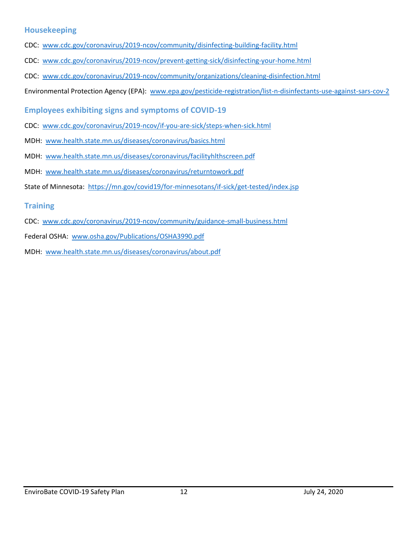### **Housekeeping**

- CDC: [www.cdc.gov/coronavirus/2019-ncov/community/disinfecting-building-facility.html](http://www.cdc.gov/coronavirus/2019-ncov/community/disinfecting-building-facility.html)
- CDC: [www.cdc.gov/coronavirus/2019-ncov/prevent-getting-sick/disinfecting-your-home.html](http://www.cdc.gov/coronavirus/2019-ncov/prevent-getting-sick/disinfecting-your-home.html)
- CDC: [www.cdc.gov/coronavirus/2019-ncov/community/organizations/cleaning-disinfection.html](http://www.cdc.gov/coronavirus/2019-ncov/community/organizations/cleaning-disinfection.html)
- Environmental Protection Agency (EPA): [www.epa.gov/pesticide-registration/list-n-disinfectants-use-against-sars-cov-2](http://www.epa.gov/pesticide-registration/list-n-disinfectants-use-against-sars-cov-2)
- **Employees exhibiting signs and symptoms of COVID-19**
- CDC: [www.cdc.gov/coronavirus/2019-ncov/if-you-are-sick/steps-when-sick.html](http://www.cdc.gov/coronavirus/2019-ncov/if-you-are-sick/steps-when-sick.html)
- MDH: [www.health.state.mn.us/diseases/coronavirus/basics.html](http://www.health.state.mn.us/diseases/coronavirus/basics.html)
- MDH: [www.health.state.mn.us/diseases/coronavirus/facilityhlthscreen.pdf](http://www.health.state.mn.us/diseases/coronavirus/facilityhlthscreen.pdf)
- MDH: [www.health.state.mn.us/diseases/coronavirus/returntowork.pdf](http://www.health.state.mn.us/diseases/coronavirus/returntowork.pdf)
- State of Minnesota: <https://mn.gov/covid19/for-minnesotans/if-sick/get-tested/index.jsp>

### **Training**

- CDC: [www.cdc.gov/coronavirus/2019-ncov/community/guidance-small-business.html](http://www.cdc.gov/coronavirus/2019-ncov/community/guidance-small-business.html)
- Federal OSHA: [www.osha.gov/Publications/OSHA3990.pdf](http://www.osha.gov/Publications/OSHA3990.pdf)
- MDH: [www.health.state.mn.us/diseases/coronavirus/about.pdf](http://www.health.state.mn.us/diseases/coronavirus/about.pdf)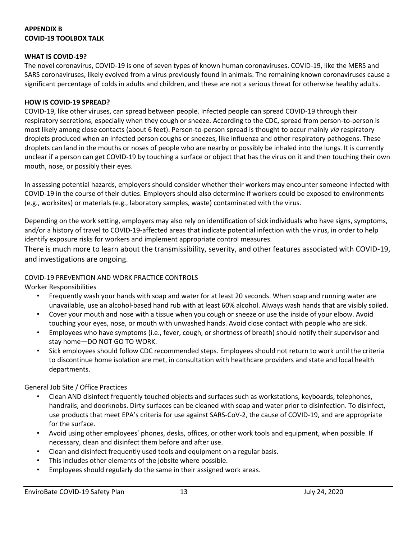### **APPENDIX B COVID-19 TOOLBOX TALK**

#### **WHAT IS COVID-19?**

The novel coronavirus, COVID-19 is one of seven types of known human coronaviruses. COVID-19, like the MERS and SARS coronaviruses, likely evolved from a virus previously found in animals. The remaining known coronaviruses cause a significant percentage of colds in adults and children, and these are not a serious threat for otherwise healthy adults.

#### **HOW IS COVID-19 SPREAD?**

COVID-19, like other viruses, can spread between people. Infected people can spread COVID-19 through their respiratory secretions, especially when they cough or sneeze. According to the CDC, spread from person-to-person is most likely among close contacts (about 6 feet). Person-to-person spread is thought to occur mainly *via* respiratory droplets produced when an infected person coughs or sneezes, like influenza and other respiratory pathogens. These droplets can land in the mouths or noses of people who are nearby or possibly be inhaled into the lungs. It is currently unclear if a person can get COVID-19 by touching a surface or object that has the virus on it and then touching their own mouth, nose, or possibly their eyes.

In assessing potential hazards, employers should consider whether their workers may encounter someone infected with COVID-19 in the course of their duties. Employers should also determine if workers could be exposed to environments (e.g., worksites) or materials (e.g., laboratory samples, waste) contaminated with the virus.

Depending on the work setting, employers may also rely on identification of sick individuals who have signs, symptoms, and/or a history of travel to COVID-19-affected areas that indicate potential infection with the virus, in order to help identify exposure risks for workers and implement appropriate control measures.

There is much more to learn about the transmissibility, severity, and other features associated with COVID-19, and investigations are ongoing.

#### COVID-19 PREVENTION AND WORK PRACTICE CONTROLS

Worker Responsibilities

- Frequently wash your hands with soap and water for at least 20 seconds. When soap and running water are unavailable, use an alcohol-based hand rub with at least 60% alcohol. Always wash hands that are visibly soiled.
- Cover your mouth and nose with a tissue when you cough or sneeze or use the inside of your elbow. Avoid touching your eyes, nose, or mouth with unwashed hands. Avoid close contact with people who are sick.
- Employees who have symptoms (i.e., fever, cough, or shortness of breath) should notify their supervisor and stay home—DO NOT GO TO WORK.
- Sick employees should follow CDC recommended steps. Employees should not return to work until the criteria to discontinue home isolation are met, in consultation with healthcare providers and state and local health departments.

General Job Site / Office Practices

- Clean AND disinfect frequently touched objects and surfaces such as workstations, keyboards, telephones, handrails, and doorknobs. Dirty surfaces can be cleaned with soap and water prior to disinfection. To disinfect, use products that meet EPA's criteria for use against SARS-CoV-2, the cause of COVID-19, and are appropriate for the surface.
- Avoid using other employees' phones, desks, offices, or other work tools and equipment, when possible. If necessary, clean and disinfect them before and after use.
- Clean and disinfect frequently used tools and equipment on a regular basis.
- This includes other elements of the jobsite where possible.
- Employees should regularly do the same in their assigned work areas.